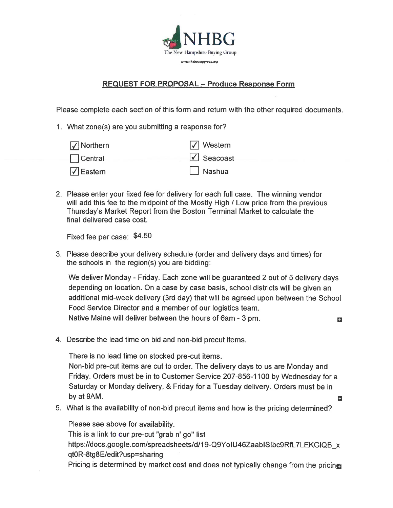

## **REQUEST FOR PROPOSAL - Produce Response Form**

Please complete each section of this form and return with the other required documents.

1. What zone(s) are you submitting a response for?

| $\sqrt{\sqrt{}}$ Northern    | $\sqrt{\phantom{a}}$ Western  |
|------------------------------|-------------------------------|
| $\Box$ Central               | $\sqrt{\phantom{a}}$ Seacoast |
| $\sqrt{\phantom{a}}$ Eastern | $\Box$ Nashua                 |

2. Please enter your fixed fee for delivery for each full case. The winning vendor will add this fee to the midpoint of the Mostly High / Low price from the previous Thursday's Market Report from the Boston Terminal Market to calculate the final delivered case cost.

Fixed fee per case: \$4.50

3. Please describe your delivery schedule (order and delivery days and times) for the schools in the region(s) you are bidding:

We deliver Monday - Friday. Each zone will be guaranteed 2 out of 5 delivery days depending on location. On a case by case basis, school districts will be given an additional mid-week delivery (3rd day) that will be agreed upon between the School Food Service Director and a member of our logistics team. Native Maine will deliver between the hours of 6am - 3 pm. E.

4. Describe the lead time on bid and non-bid precut items.

There is no lead time on stocked pre-cut items.

Non-bid pre-cut items are cut to order. The delivery days to us are Monday and Friday. Orders must be in to Customer Service 207-856-1100 by Wednesday for a Saturday or Monday delivery, & Friday for a Tuesday delivery. Orders must be in by at 9AM. H

5. What is the availability of non-bid precut items and how is the pricing determined?

Please see above for availability. This is a link to our pre-cut "grab n' go" list https://docs.google.com/spreadsheets/d/19-Q9YoIU46ZaabISIbc9RfL7LEKGIQB x qt0R-8tg8E/edit?usp=sharing Pricing is determined by market cost and does not typically change from the pricines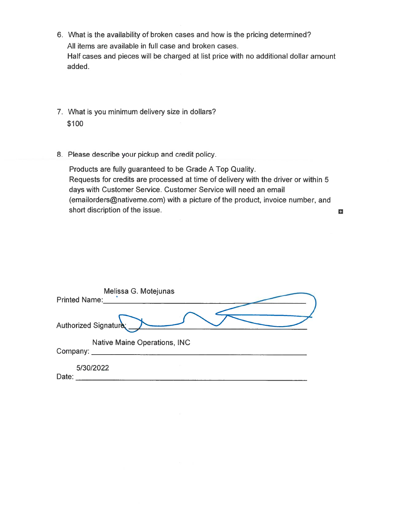- 6. What is the availability of broken cases and how is the pricing determined? All items are available in full case and broken cases. Half cases and pieces will be charged at list price with no additional dollar amount added.
- 7. What is you minimum delivery size in dollars? \$100
- 8. Please describe your pickup and credit policy.

Products are fully guaranteed to be Grade A Top Quality. Requests for credits are processed at time of delivery with the driver or within 5 days with Customer Service. Customer Service will need an email (emailorders@nativeme.com) with a picture of the product, invoice number, and short discription of the issue.

÷.

| Melissa G. Motejunas<br><b>Printed Name:</b>    |  |
|-------------------------------------------------|--|
| Authorized Signature                            |  |
| <b>Native Maine Operations, INC</b><br>Company: |  |
| 5/30/2022<br>Date:                              |  |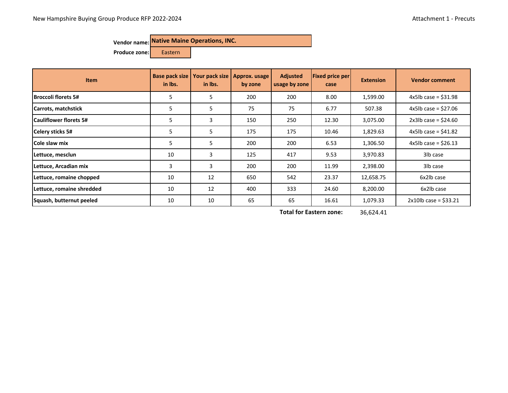**Produce zone:** Eastern

| <b>Item</b>               | Base pack size<br>in Ibs. | Your pack size<br>in lbs. | Approx. usage<br>by zone | <b>Adjusted</b><br>usage by zone | <b>Fixed price per</b><br>case | <b>Extension</b> | <b>Vendor comment</b>    |
|---------------------------|---------------------------|---------------------------|--------------------------|----------------------------------|--------------------------------|------------------|--------------------------|
| Broccoli florets 5#       | 5                         | 5                         | 200                      | 200                              | 8.00                           | 1,599.00         | $4x5lb$ case = \$31.98   |
| Carrots, matchstick       | 5                         | 5                         | 75                       | 75                               | 6.77                           | 507.38           | $4x5lb$ case = \$27.06   |
| lCauliflower florets 5#   | 5                         | 3                         | 150                      | 250                              | 12.30                          | 3,075.00         | $2x3lb$ case = \$24.60   |
| Celery sticks 5#          | 5                         | 5                         | 175                      | 175                              | 10.46                          | 1,829.63         | $4x5lb$ case = \$41.82   |
| <b>Cole slaw mix</b>      | 5                         | 5                         | 200                      | 200                              | 6.53                           | 1,306.50         | $4x5lb$ case = \$26.13   |
| Lettuce, mesclun          | 10                        | 3                         | 125                      | 417                              | 9.53                           | 3,970.83         | 3lb case                 |
| Lettuce, Arcadian mix     | 3                         | 3                         | 200                      | 200                              | 11.99                          | 2,398.00         | 3lb case                 |
| Lettuce, romaine chopped  | 10                        | 12                        | 650                      | 542                              | 23.37                          | 12,658.75        | 6x2lb case               |
| Lettuce, romaine shredded | 10                        | 12                        | 400                      | 333                              | 24.60                          | 8,200.00         | 6x2lb case               |
| Squash, butternut peeled  | 10                        | 10                        | 65                       | 65                               | 16.61                          | 1,079.33         | $2x10$ lb case = \$33.21 |

36,624.41 **Total for Eastern zone:**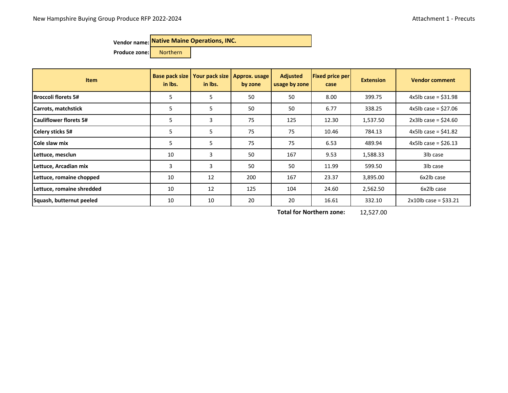**Produce zone:** Northern

| <b>Item</b>                    | <b>Base pack size</b><br>in Ibs. | Your pack size<br>in Ibs. | Approx. usage<br>by zone | <b>Adjusted</b><br>usage by zone | <b>Fixed price per</b><br>case | <b>Extension</b> | <b>Vendor comment</b>    |
|--------------------------------|----------------------------------|---------------------------|--------------------------|----------------------------------|--------------------------------|------------------|--------------------------|
| Broccoli florets 5#            | 5                                | 5                         | 50                       | 50                               | 8.00                           | 399.75           | $4x5lb$ case = \$31.98   |
| Carrots, matchstick            | 5                                | 5                         | 50                       | 50                               | 6.77                           | 338.25           | $4x5lb$ case = \$27.06   |
| <b>ICauliflower florets 5#</b> | 5                                | 3                         | 75                       | 125                              | 12.30                          | 1,537.50         | $2x3lb$ case = \$24.60   |
| Celery sticks 5#               | 5                                | 5                         | 75                       | 75                               | 10.46                          | 784.13           | $4x5lb$ case = \$41.82   |
| <b>Cole slaw mix</b>           | 5                                | 5                         | 75                       | 75                               | 6.53                           | 489.94           | 4x5lb case = $$26.13$    |
| Lettuce, mesclun               | 10                               | 3                         | 50                       | 167                              | 9.53                           | 1,588.33         | 3lb case                 |
| Lettuce, Arcadian mix          | $\overline{3}$                   | 3                         | 50                       | 50                               | 11.99                          | 599.50           | 3lb case                 |
| Lettuce, romaine chopped       | 10                               | 12                        | 200                      | 167                              | 23.37                          | 3,895.00         | 6x2lb case               |
| Lettuce, romaine shredded      | 10                               | 12                        | 125                      | 104                              | 24.60                          | 2,562.50         | 6x2lb case               |
| Squash, butternut peeled       | 10                               | 10                        | 20                       | 20                               | 16.61                          | 332.10           | $2x10$ lb case = \$33.21 |

12,527.00 **Total for Northern zone:**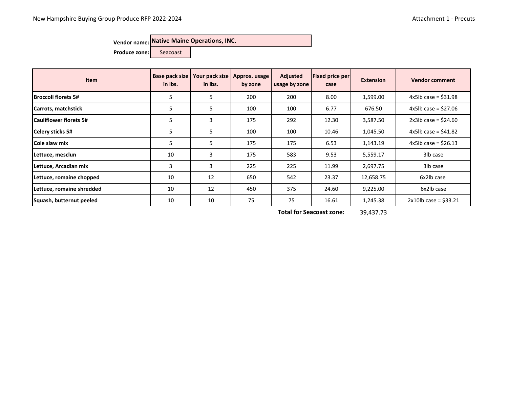Produce zone: Seacoast

| <b>Item</b>                   | Base pack size<br>in Ibs. | Your pack size<br>in lbs. | Approx. usage<br>by zone | <b>Adjusted</b><br>usage by zone | <b>Fixed price per</b><br>case | <b>Extension</b> | <b>Vendor comment</b>    |
|-------------------------------|---------------------------|---------------------------|--------------------------|----------------------------------|--------------------------------|------------------|--------------------------|
| <b>Broccoli florets 5#</b>    | 5                         | 5                         | 200                      | 200                              | 8.00                           | 1,599.00         | $4x5lb$ case = \$31.98   |
| Carrots, matchstick           | 5                         | 5                         | 100                      | 100                              | 6.77                           | 676.50           | $4x5lb$ case = \$27.06   |
| <b>Cauliflower florets 5#</b> | 5                         | 3                         | 175                      | 292                              | 12.30                          | 3,587.50         | $2x3lb$ case = \$24.60   |
| Celery sticks 5#              | 5                         | 5                         | 100                      | 100                              | 10.46                          | 1,045.50         | $4x5lb$ case = \$41.82   |
| Cole slaw mix                 | 5                         | 5                         | 175                      | 175                              | 6.53                           | 1,143.19         | $4x5lb$ case = \$26.13   |
| Lettuce, mesclun              | 10                        | 3                         | 175                      | 583                              | 9.53                           | 5,559.17         | 3lb case                 |
| Lettuce, Arcadian mix         | 3                         | 3                         | 225                      | 225                              | 11.99                          | 2,697.75         | 3lb case                 |
| Lettuce, romaine chopped      | 10                        | 12                        | 650                      | 542                              | 23.37                          | 12,658.75        | 6x2lb case               |
| Lettuce, romaine shredded     | 10                        | 12                        | 450                      | 375                              | 24.60                          | 9,225.00         | 6x2lb case               |
| Squash, butternut peeled      | 10                        | 10                        | 75                       | 75                               | 16.61                          | 1,245.38         | $2x10$ lb case = \$33.21 |

39,437.73 **Total for Seacoast zone:**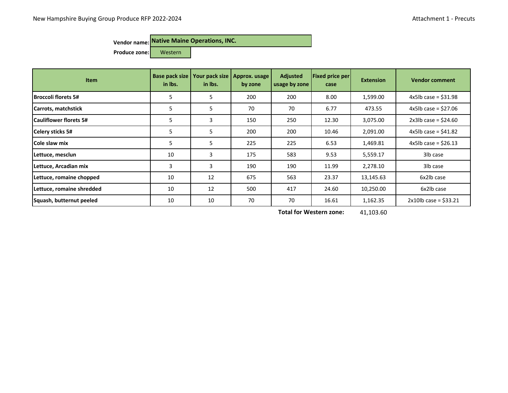**Produce zone:** Western

| <b>Item</b>                   | Base pack size<br>in Ibs. | Your pack size<br>in Ibs. | Approx. usage<br>by zone | <b>Adjusted</b><br>usage by zone | <b>Fixed price per</b><br>case | <b>Extension</b> | <b>Vendor comment</b>    |
|-------------------------------|---------------------------|---------------------------|--------------------------|----------------------------------|--------------------------------|------------------|--------------------------|
| Broccoli florets 5#           | 5                         | 5                         | 200                      | 200                              | 8.00                           | 1,599.00         | $4x5lb$ case = \$31.98   |
| Carrots, matchstick           | 5                         | 5                         | 70                       | 70                               | 6.77                           | 473.55           | 4x5lb case = $$27.06$    |
| <b>Cauliflower florets 5#</b> | 5                         | 3                         | 150                      | 250                              | 12.30                          | 3,075.00         | $2x3lb$ case = \$24.60   |
| Celery sticks 5#              | 5                         | 5                         | 200                      | 200                              | 10.46                          | 2,091.00         | 4x5lb case = $$41.82$    |
| <b>Cole slaw mix</b>          | 5                         | 5                         | 225                      | 225                              | 6.53                           | 1,469.81         | $4x5lb$ case = \$26.13   |
| Lettuce, mesclun              | 10                        | 3                         | 175                      | 583                              | 9.53                           | 5,559.17         | 3lb case                 |
| Lettuce, Arcadian mix         | 3                         | 3                         | 190                      | 190                              | 11.99                          | 2,278.10         | 3lb case                 |
| Lettuce, romaine chopped      | 10                        | 12                        | 675                      | 563                              | 23.37                          | 13,145.63        | 6x2lb case               |
| Lettuce, romaine shredded     | 10                        | 12                        | 500                      | 417                              | 24.60                          | 10,250.00        | 6x2lb case               |
| Squash, butternut peeled      | 10                        | 10                        | 70                       | 70                               | 16.61                          | 1,162.35         | $2x10$ lb case = \$33.21 |

41,103.60 **Total for Western zone:**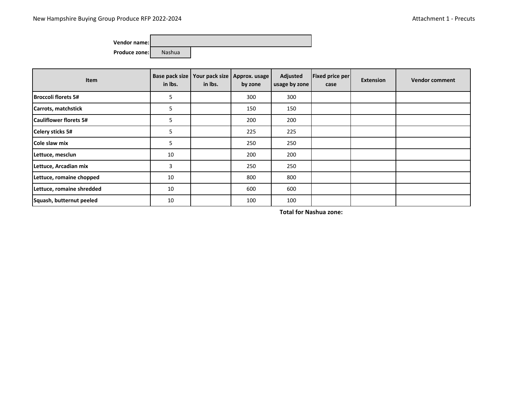**Vendor name: Produce zone:** Nashua

| Item                          | Base pack size<br>in Ibs. | in Ibs. | Your pack size   Approx. usage  <br>by zone | Adjusted<br>usage by zone | <b>Fixed price per</b><br>case | <b>Extension</b> | <b>Vendor comment</b> |
|-------------------------------|---------------------------|---------|---------------------------------------------|---------------------------|--------------------------------|------------------|-----------------------|
| Broccoli florets 5#           | 5                         |         | 300                                         | 300                       |                                |                  |                       |
| Carrots, matchstick           | 5                         |         | 150                                         | 150                       |                                |                  |                       |
| <b>Cauliflower florets 5#</b> | 5                         |         | 200                                         | 200                       |                                |                  |                       |
| <b>Celery sticks 5#</b>       | 5                         |         | 225                                         | 225                       |                                |                  |                       |
| Cole slaw mix                 | 5                         |         | 250                                         | 250                       |                                |                  |                       |
| Lettuce, mesclun              | 10                        |         | 200                                         | 200                       |                                |                  |                       |
| Lettuce, Arcadian mix         | 3                         |         | 250                                         | 250                       |                                |                  |                       |
| Lettuce, romaine chopped      | 10                        |         | 800                                         | 800                       |                                |                  |                       |
| Lettuce, romaine shredded     | 10                        |         | 600                                         | 600                       |                                |                  |                       |
| Squash, butternut peeled      | 10                        |         | 100                                         | 100                       |                                |                  |                       |

**Total for Nashua zone:**